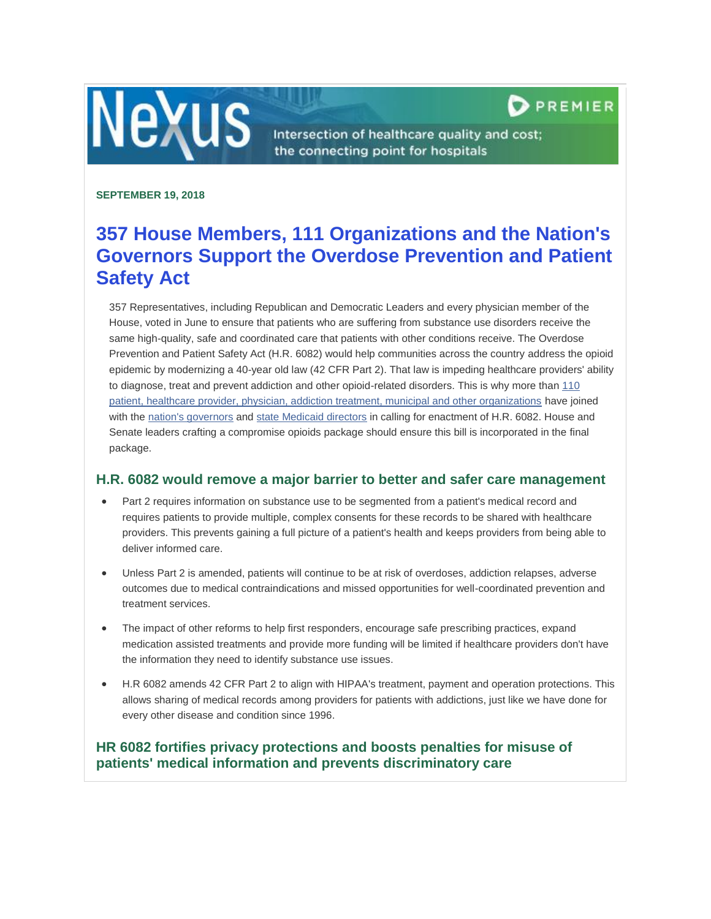

Intersection of healthcare quality and cost; the connecting point for hospitals

### **SEPTEMBER 19, 2018**

**Nexus** 

# **357 House Members, 111 Organizations and the Nation's Governors Support the Overdose Prevention and Patient Safety Act**

357 Representatives, including Republican and Democratic Leaders and every physician member of the House, voted in June to ensure that patients who are suffering from substance use disorders receive the same high-quality, safe and coordinated care that patients with other conditions receive. The Overdose Prevention and Patient Safety Act (H.R. 6082) would help communities across the country address the opioid epidemic by modernizing a 40-year old law (42 CFR Part 2). That law is impeding healthcare providers' ability to diagnose, treat and prevent addiction and other opioid-related disorders. This is why more than [110](http://lyris.premierinc.com/t/1121191/27412389/158877/22/)  [patient, healthcare provider, physician, addiction treatment, municipal and other organizations](http://lyris.premierinc.com/t/1121191/27412389/158877/22/) have joined with th[e nation's governors](http://lyris.premierinc.com/t/1121191/27412389/158878/23/) and [state Medicaid directors](http://lyris.premierinc.com/t/1121191/27412389/142716/24/) in calling for enactment of H.R. 6082. House and Senate leaders crafting a compromise opioids package should ensure this bill is incorporated in the final package.

## **H.R. 6082 would remove a major barrier to better and safer care management**

- Part 2 requires information on substance use to be segmented from a patient's medical record and requires patients to provide multiple, complex consents for these records to be shared with healthcare providers. This prevents gaining a full picture of a patient's health and keeps providers from being able to deliver informed care.
- Unless Part 2 is amended, patients will continue to be at risk of overdoses, addiction relapses, adverse outcomes due to medical contraindications and missed opportunities for well-coordinated prevention and treatment services.
- The impact of other reforms to help first responders, encourage safe prescribing practices, expand medication assisted treatments and provide more funding will be limited if healthcare providers don't have the information they need to identify substance use issues.
- H.R 6082 amends 42 CFR Part 2 to align with HIPAA's treatment, payment and operation protections. This allows sharing of medical records among providers for patients with addictions, just like we have done for every other disease and condition since 1996.

# **HR 6082 fortifies privacy protections and boosts penalties for misuse of patients' medical information and prevents discriminatory care**